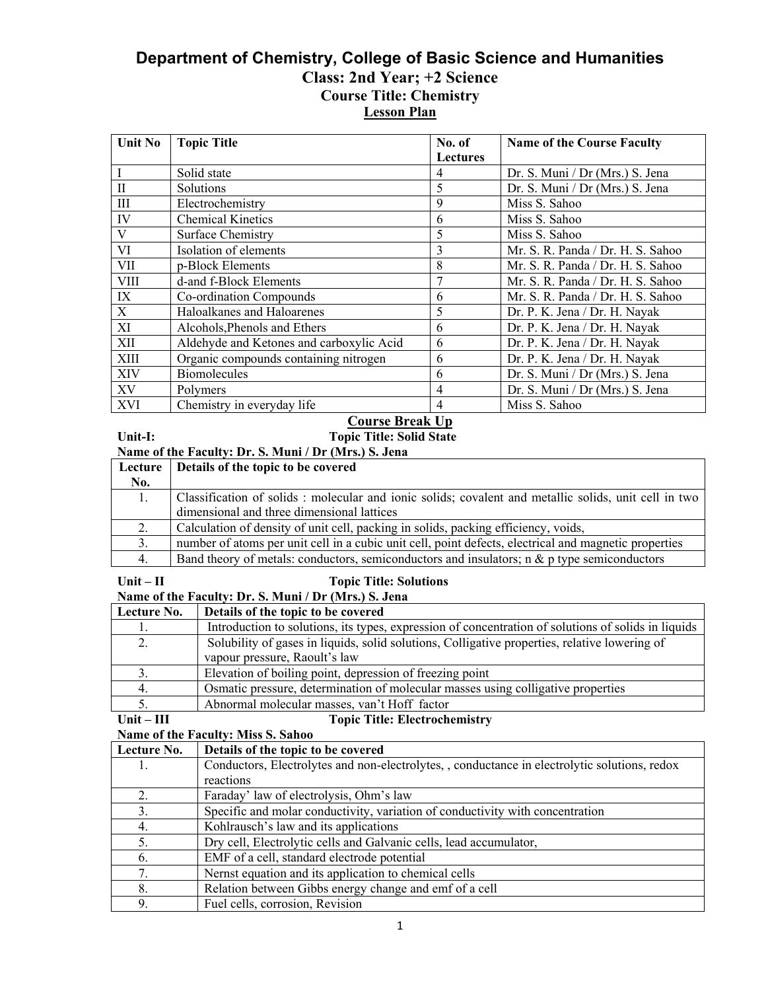# **Department of Chemistry, College of Basic Science and Humanities Class: 2nd Year; +2 Science Course Title: Chemistry Lesson Plan**

| <b>Unit No</b> | <b>Topic Title</b>                       | No. of          | <b>Name of the Course Faculty</b> |
|----------------|------------------------------------------|-----------------|-----------------------------------|
|                |                                          | <b>Lectures</b> |                                   |
|                | Solid state                              | 4               | Dr. S. Muni / Dr (Mrs.) S. Jena   |
| $\mathbf{I}$   | Solutions                                | 5               | Dr. S. Muni / Dr (Mrs.) S. Jena   |
| III            | Electrochemistry                         | 9               | Miss S. Sahoo                     |
| IV             | <b>Chemical Kinetics</b>                 | 6               | Miss S. Sahoo                     |
| V              | <b>Surface Chemistry</b>                 | 5               | Miss S. Sahoo                     |
| VI             | Isolation of elements                    | 3               | Mr. S. R. Panda / Dr. H. S. Sahoo |
| <b>VII</b>     | p-Block Elements                         | 8               | Mr. S. R. Panda / Dr. H. S. Sahoo |
| <b>VIII</b>    | d-and f-Block Elements                   |                 | Mr. S. R. Panda / Dr. H. S. Sahoo |
| IX             | Co-ordination Compounds                  | 6               | Mr. S. R. Panda / Dr. H. S. Sahoo |
| X              | Haloalkanes and Haloarenes               | 5               | Dr. P. K. Jena / Dr. H. Nayak     |
| XI             | Alcohols, Phenols and Ethers             | 6               | Dr. P. K. Jena / Dr. H. Nayak     |
| XII            | Aldehyde and Ketones and carboxylic Acid | 6               | Dr. P. K. Jena / Dr. H. Nayak     |
| XIII           | Organic compounds containing nitrogen    | 6               | Dr. P. K. Jena / Dr. H. Nayak     |
| XIV            | <b>Biomolecules</b>                      | 6               | Dr. S. Muni / Dr (Mrs.) S. Jena   |
| XV             | Polymers                                 | $\overline{4}$  | Dr. S. Muni / Dr (Mrs.) S. Jena   |
| <b>XVI</b>     | Chemistry in everyday life               | 4               | Miss S. Sahoo                     |

# **Course Break Up**

**Unit-I: Topic Title: Solid State**

| Name of the Faculty: Dr. S. Muni / Dr (Mrs.) S. Jena |  |  |  |
|------------------------------------------------------|--|--|--|
|                                                      |  |  |  |

|     | Lecture   Details of the topic to be covered                                                          |
|-----|-------------------------------------------------------------------------------------------------------|
| No. |                                                                                                       |
|     | Classification of solids: molecular and ionic solids; covalent and metallic solids, unit cell in two  |
|     | dimensional and three dimensional lattices                                                            |
|     | Calculation of density of unit cell, packing in solids, packing efficiency, voids,                    |
|     | number of atoms per unit cell in a cubic unit cell, point defects, electrical and magnetic properties |
| 4.  | Band theory of metals: conductors, semiconductors and insulators; $n \& p$ type semiconductors        |
|     |                                                                                                       |

## Unit – II **Topic Title: Solutions**

| Name of the Faculty: Dr. S. Muni / Dr (Mrs.) S. Jena |                                                                                                     |  |
|------------------------------------------------------|-----------------------------------------------------------------------------------------------------|--|
| Lecture No.                                          | Details of the topic to be covered                                                                  |  |
|                                                      | Introduction to solutions, its types, expression of concentration of solutions of solids in liquids |  |
|                                                      | Solubility of gases in liquids, solid solutions, Colligative properties, relative lowering of       |  |
|                                                      | vapour pressure, Raoult's law                                                                       |  |
|                                                      | Elevation of boiling point, depression of freezing point                                            |  |
|                                                      | Osmatic pressure, determination of molecular masses using colligative properties                    |  |
|                                                      | A huguno langlamlan magazi yan <sup>24</sup> Haff fastan                                            |  |

### 5. Abnormal molecular masses, van't Hoff factor<br>Unit – III Topic Title: Electroche <u>1 5. Abnormal molecular masses, van t HOII Tactor</u><br>**Unit – III 1998** Topic Title: Electrochemistry

**Name of the Faculty: Miss S. Sahoo** 

| Lecture No. | Details of the topic to be covered                                                            |
|-------------|-----------------------------------------------------------------------------------------------|
|             | Conductors, Electrolytes and non-electrolytes, , conductance in electrolytic solutions, redox |
|             | reactions                                                                                     |
| 2.          | Faraday' law of electrolysis, Ohm's law                                                       |
| 3.          | Specific and molar conductivity, variation of conductivity with concentration                 |
| 4.          | Kohlrausch's law and its applications                                                         |
| 5.          | Dry cell, Electrolytic cells and Galvanic cells, lead accumulator,                            |
| 6.          | EMF of a cell, standard electrode potential                                                   |
| 7.          | Nernst equation and its application to chemical cells                                         |
| 8.          | Relation between Gibbs energy change and emf of a cell                                        |
| 9.          | Fuel cells, corrosion, Revision                                                               |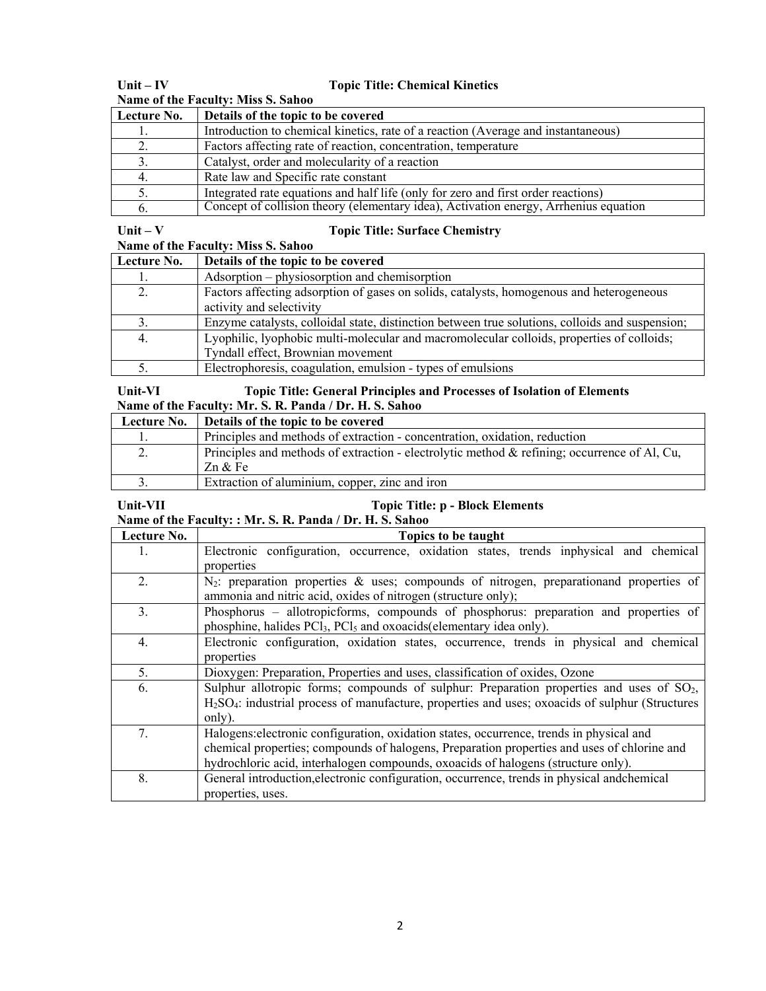| Name of the Faculty: Miss S. Sahoo |                                                                                      |  |  |
|------------------------------------|--------------------------------------------------------------------------------------|--|--|
| Lecture No.                        | Details of the topic to be covered                                                   |  |  |
|                                    | Introduction to chemical kinetics, rate of a reaction (Average and instantaneous)    |  |  |
|                                    | Factors affecting rate of reaction, concentration, temperature                       |  |  |
|                                    | Catalyst, order and molecularity of a reaction                                       |  |  |
|                                    | Rate law and Specific rate constant                                                  |  |  |
|                                    | Integrated rate equations and half life (only for zero and first order reactions)    |  |  |
| $\mathbf{b}$ .                     | Concept of collision theory (elementary idea), Activation energy, Arrhenius equation |  |  |

# **Unit – IV Topic Title: Chemical Kinetics**

### Unit – V Topic Title: Surface Chemistry

| Name of the Faculty: Miss S. Sahoo |                                                                                                                                |  |
|------------------------------------|--------------------------------------------------------------------------------------------------------------------------------|--|
| Lecture No.                        | Details of the topic to be covered                                                                                             |  |
|                                    | Adsorption – physiosorption and chemisorption                                                                                  |  |
|                                    | Factors affecting adsorption of gases on solids, catalysts, homogenous and heterogeneous<br>activity and selectivity           |  |
|                                    | Enzyme catalysts, colloidal state, distinction between true solutions, colloids and suspension;                                |  |
| 4.                                 | Lyophilic, lyophobic multi-molecular and macromolecular colloids, properties of colloids;<br>Tyndall effect, Brownian movement |  |
|                                    | Electrophoresis, coagulation, emulsion - types of emulsions                                                                    |  |

### **Unit-VI Topic Title: General Principles and Processes of Isolation of Elements Name of the Faculty: Mr. S. R. Panda / Dr. H. S. Sahoo**

| Lecture No. | Details of the topic to be covered                                                              |
|-------------|-------------------------------------------------------------------------------------------------|
|             | Principles and methods of extraction - concentration, oxidation, reduction                      |
|             | Principles and methods of extraction - electrolytic method $\&$ refining; occurrence of Al, Cu, |
|             | Zn & Fe                                                                                         |
|             | Extraction of aluminium, copper, zinc and iron                                                  |

# Unit-VII Topic Title: p - Block Elements

**Name of the Faculty: : Mr. S. R. Panda / Dr. H. S. Sahoo** 

| Lecture No. | Topics to be taught                                                                                                      |
|-------------|--------------------------------------------------------------------------------------------------------------------------|
| 1.          | Electronic configuration, occurrence, oxidation states, trends inphysical and chemical                                   |
|             | properties                                                                                                               |
| 2.          | $N_2$ : preparation properties & uses; compounds of nitrogen, preparation and properties of                              |
|             | ammonia and nitric acid, oxides of nitrogen (structure only);                                                            |
| 3.          | Phosphorus – allotropicforms, compounds of phosphorus: preparation and properties of                                     |
|             | phosphine, halides PCl <sub>3</sub> , PCl <sub>5</sub> and oxoacids(elementary idea only).                               |
| 4.          | Electronic configuration, oxidation states, occurrence, trends in physical and chemical                                  |
|             | properties                                                                                                               |
| 5.          | Dioxygen: Preparation, Properties and uses, classification of oxides, Ozone                                              |
| 6.          | Sulphur allotropic forms; compounds of sulphur: Preparation properties and uses of SO <sub>2</sub> ,                     |
|             | H <sub>2</sub> SO <sub>4</sub> : industrial process of manufacture, properties and uses; oxoacids of sulphur (Structures |
|             | only).                                                                                                                   |
| 7.          | Halogens: electronic configuration, oxidation states, occurrence, trends in physical and                                 |
|             | chemical properties; compounds of halogens, Preparation properties and uses of chlorine and                              |
|             | hydrochloric acid, interhalogen compounds, oxoacids of halogens (structure only).                                        |
| 8.          | General introduction, electronic configuration, occurrence, trends in physical and chemical                              |
|             | properties, uses.                                                                                                        |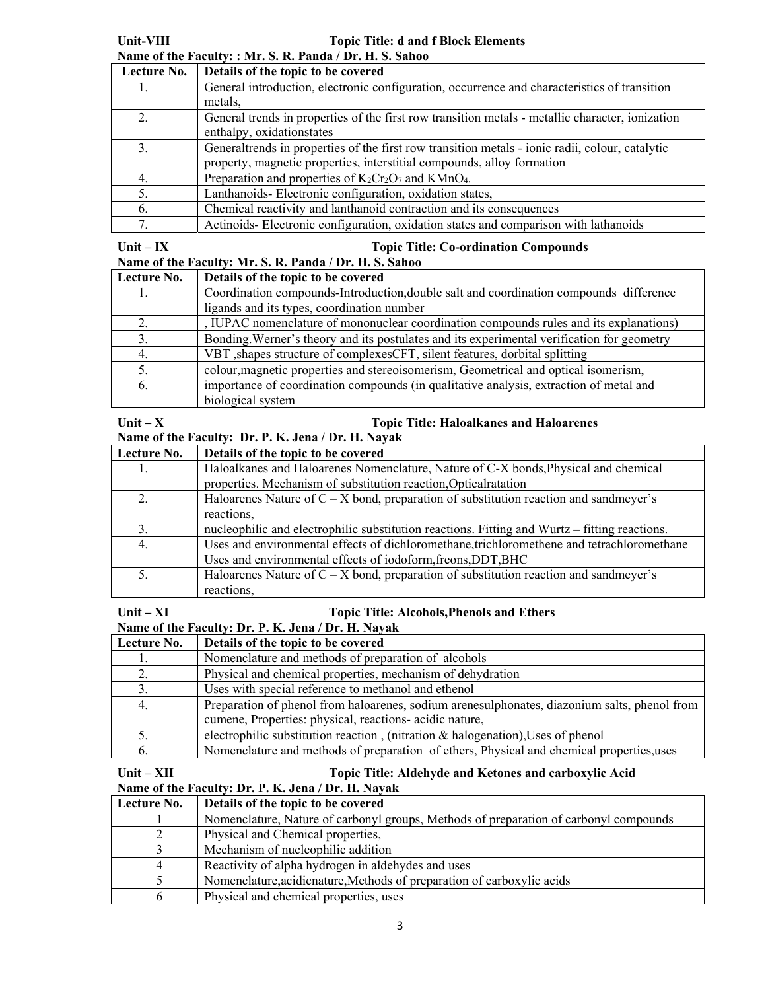| Lecture No. | Details of the topic to be covered                                                               |
|-------------|--------------------------------------------------------------------------------------------------|
|             | General introduction, electronic configuration, occurrence and characteristics of transition     |
|             | metals,                                                                                          |
|             | General trends in properties of the first row transition metals - metallic character, ionization |
|             | enthalpy, oxidationstates                                                                        |
|             | General trends in properties of the first row transition metals - ionic radii, colour, catalytic |
|             | property, magnetic properties, interstitial compounds, alloy formation                           |
|             | Preparation and properties of $K_2Cr_2O_7$ and $KMnO_4$ .                                        |
| 5.          | Lanthanoids-Electronic configuration, oxidation states,                                          |
| 6.          | Chemical reactivity and lanthanoid contraction and its consequences                              |
|             | Actinoids-Electronic configuration, oxidation states and comparison with lathanoids              |

#### **Unit – IX Topic Title: Co-ordination Compounds**

| Name of the Faculty: Mr. S. R. Panda / Dr. H. S. Sahoo |                                                                                            |  |
|--------------------------------------------------------|--------------------------------------------------------------------------------------------|--|
| Lecture No.                                            | Details of the topic to be covered                                                         |  |
|                                                        | Coordination compounds-Introduction, double salt and coordination compounds difference     |  |
|                                                        | ligands and its types, coordination number                                                 |  |
|                                                        | , IUPAC nomenclature of mononuclear coordination compounds rules and its explanations)     |  |
| 3.                                                     | Bonding. Werner's theory and its postulates and its experimental verification for geometry |  |
| 4.                                                     | VBT, shapes structure of complexes CFT, silent features, dorbital splitting                |  |
|                                                        | colour, magnetic properties and stereoisomerism, Geometrical and optical isomerism,        |  |
| b.                                                     | importance of coordination compounds (in qualitative analysis, extraction of metal and     |  |
|                                                        | biological system                                                                          |  |

#### Unit – X Topic Title: Haloalkanes and Haloarenes **Name of the Faculty: Dr. P. K. Jena / Dr. H. Nayak**

| Lecture No. | Details of the topic to be covered                                                            |
|-------------|-----------------------------------------------------------------------------------------------|
|             | Haloalkanes and Haloarenes Nomenclature, Nature of C-X bonds, Physical and chemical           |
|             | properties. Mechanism of substitution reaction, Optical ratation                              |
|             | Haloarenes Nature of $C - X$ bond, preparation of substitution reaction and sandmeyer's       |
|             | reactions,                                                                                    |
|             | nucleophilic and electrophilic substitution reactions. Fitting and Wurtz – fitting reactions. |
| 4.          | Uses and environmental effects of dichloromethane, trichloromethene and tetrachloromethane    |
|             | Uses and environmental effects of iodoform, freons, DDT, BHC                                  |
|             | Haloarenes Nature of $C - X$ bond, preparation of substitution reaction and sandmeyer's       |
|             | reactions,                                                                                    |

#### Unit – XI Topic Title: Alcohols, Phenols and Ethers<br>
Name of the Feculty: Dr. P. K. Jone / Dr. H. Navek **Name of the Faculty: Dr. P. K. Jane / Dr.**

| Name of the Faculty: Dr. F. R. Jena / Dr. H. Navak |                                                                                              |  |
|----------------------------------------------------|----------------------------------------------------------------------------------------------|--|
| Lecture No.                                        | Details of the topic to be covered                                                           |  |
|                                                    | Nomenclature and methods of preparation of alcohols                                          |  |
|                                                    | Physical and chemical properties, mechanism of dehydration                                   |  |
| 3.                                                 | Uses with special reference to methanol and ethenol                                          |  |
| 4.                                                 | Preparation of phenol from haloarenes, sodium arenesulphonates, diazonium salts, phenol from |  |
|                                                    | cumene, Properties: physical, reactions- acidic nature,                                      |  |
|                                                    | electrophilic substitution reaction, (nitration & halogenation), Uses of phenol              |  |
| b.                                                 | Nomenclature and methods of preparation of ethers, Physical and chemical properties, uses    |  |

# Unit – XII **Topic Title: Aldehyde and Ketones and carboxylic Acid**  $\overline{a}$

# **Name of the Faculty: Dr. P. K. Jena / Dr. H. Nayak**

| Lecture No. | Details of the topic to be covered                                                    |
|-------------|---------------------------------------------------------------------------------------|
|             | Nomenclature, Nature of carbonyl groups, Methods of preparation of carbonyl compounds |
|             | Physical and Chemical properties,                                                     |
|             | Mechanism of nucleophilic addition                                                    |
|             | Reactivity of alpha hydrogen in aldehydes and uses                                    |
|             | Nomenclature, acidicnature, Methods of preparation of carboxylic acids                |
|             | Physical and chemical properties, uses                                                |